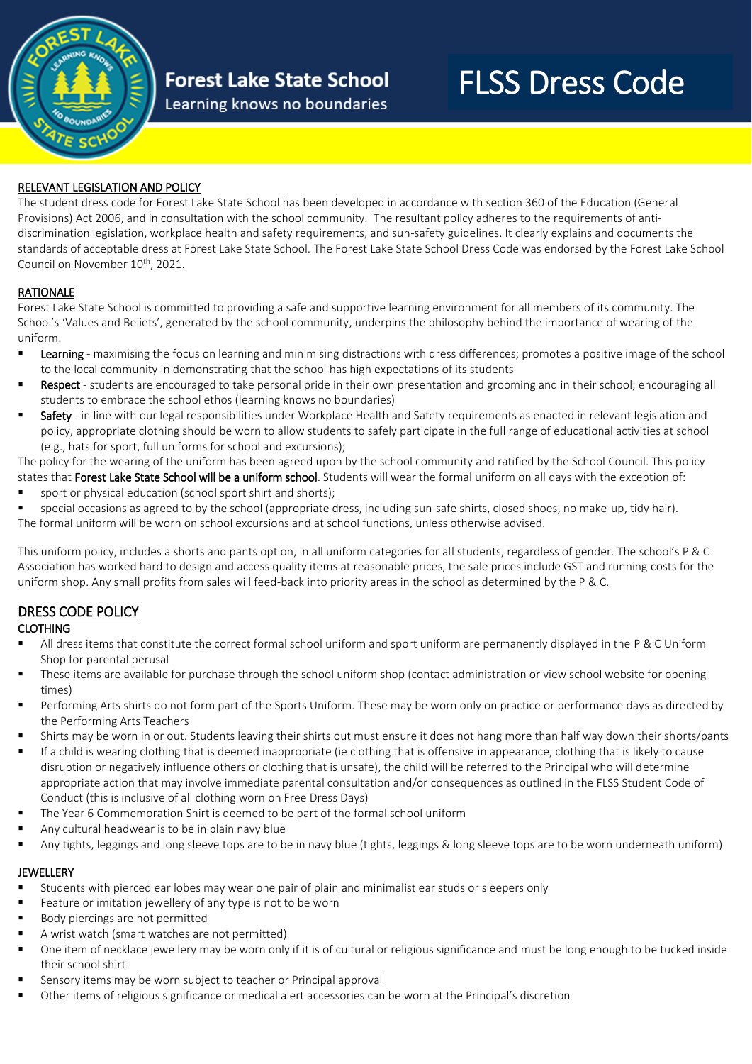

## **Forest Lake State School**

Learning knows no boundaries

# FLSS Dress Code

#### RELEVANT LEGISLATION AND POLICY

The student dress code for Forest Lake State School has been developed in accordance with section 360 of the Education (General Provisions) Act 2006, and in consultation with the school community. The resultant policy adheres to the requirements of antidiscrimination legislation, workplace health and safety requirements, and sun-safety guidelines. It clearly explains and documents the standards of acceptable dress at Forest Lake State School. The Forest Lake State School Dress Code was endorsed by the Forest Lake School Council on November 10<sup>th</sup>, 2021.

#### RATIONALE

Forest Lake State School is committed to providing a safe and supportive learning environment for all members of its community. The School's 'Values and Beliefs', generated by the school community, underpins the philosophy behind the importance of wearing of the uniform.

- Learning maximising the focus on learning and minimising distractions with dress differences; promotes a positive image of the school to the local community in demonstrating that the school has high expectations of its students
- Respect students are encouraged to take personal pride in their own presentation and grooming and in their school; encouraging all students to embrace the school ethos (learning knows no boundaries)
- Safety in line with our legal responsibilities under Workplace Health and Safety requirements as enacted in relevant legislation and policy, appropriate clothing should be worn to allow students to safely participate in the full range of educational activities at school (e.g., hats for sport, full uniforms for school and excursions);

The policy for the wearing of the uniform has been agreed upon by the school community and ratified by the School Council. This policy states that Forest Lake State School will be a uniform school. Students will wear the formal uniform on all days with the exception of:

sport or physical education (school sport shirt and shorts):

special occasions as agreed to by the school (appropriate dress, including sun-safe shirts, closed shoes, no make-up, tidy hair). The formal uniform will be worn on school excursions and at school functions, unless otherwise advised.

This uniform policy, includes a shorts and pants option, in all uniform categories for all students, regardless of gender. The school's P & C Association has worked hard to design and access quality items at reasonable prices, the sale prices include GST and running costs for the uniform shop. Any small profits from sales will feed-back into priority areas in the school as determined by the P & C.

#### DRESS CODE POLICY

#### CLOTHING

- All dress items that constitute the correct formal school uniform and sport uniform are permanently displayed in the P & C Uniform Shop for parental perusal
- These items are available for purchase through the school uniform shop (contact administration or view school website for opening times)
- Performing Arts shirts do not form part of the Sports Uniform. These may be worn only on practice or performance days as directed by the Performing Arts Teachers
- Shirts may be worn in or out. Students leaving their shirts out must ensure it does not hang more than half way down their shorts/pants
- If a child is wearing clothing that is deemed inappropriate (ie clothing that is offensive in appearance, clothing that is likely to cause disruption or negatively influence others or clothing that is unsafe), the child will be referred to the Principal who will determine appropriate action that may involve immediate parental consultation and/or consequences as outlined in the FLSS Student Code of Conduct (this is inclusive of all clothing worn on Free Dress Days)
- The Year 6 Commemoration Shirt is deemed to be part of the formal school uniform
- Any cultural headwear is to be in plain navy blue
- Any tights, leggings and long sleeve tops are to be in navy blue (tights, leggings & long sleeve tops are to be worn underneath uniform)

#### **JEWELLERY**

- Students with pierced ear lobes may wear one pair of plain and minimalist ear studs or sleepers only
- Feature or imitation jewellery of any type is not to be worn
- Body piercings are not permitted
- A wrist watch (smart watches are not permitted)
- One item of necklace jewellery may be worn only if it is of cultural or religious significance and must be long enough to be tucked inside their school shirt
- Sensory items may be worn subject to teacher or Principal approval
- Other items of religious significance or medical alert accessories can be worn at the Principal's discretion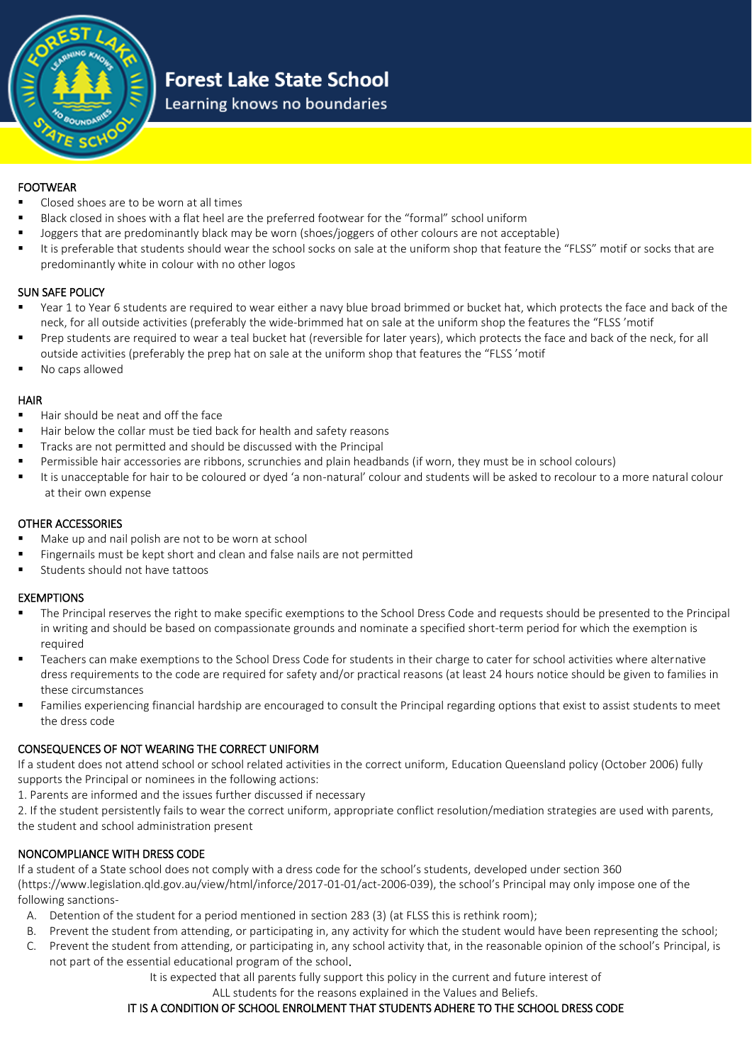

### **Forest Lake State School**

Learning knows no boundaries

#### FOOTWEAR

- Closed shoes are to be worn at all times
- Black closed in shoes with a flat heel are the preferred footwear for the "formal" school uniform
- Joggers that are predominantly black may be worn (shoes/joggers of other colours are not acceptable)
- It is preferable that students should wear the school socks on sale at the uniform shop that feature the "FLSS" motif or socks that are predominantly white in colour with no other logos

#### SUN SAFE POLICY

- Year 1 to Year 6 students are required to wear either a navy blue broad brimmed or bucket hat, which protects the face and back of the neck, for all outside activities (preferably the wide-brimmed hat on sale at the uniform shop the features the "FLSS 'motif
- Prep students are required to wear a teal bucket hat (reversible for later years), which protects the face and back of the neck, for all outside activities (preferably the prep hat on sale at the uniform shop that features the "FLSS 'motif
- No caps allowed

#### HAIR

- Hair should be neat and off the face
- Hair below the collar must be tied back for health and safety reasons
- Tracks are not permitted and should be discussed with the Principal
- Permissible hair accessories are ribbons, scrunchies and plain headbands (if worn, they must be in school colours)
- It is unacceptable for hair to be coloured or dyed 'a non-natural' colour and students will be asked to recolour to a more natural colour at their own expense

#### OTHER ACCESSORIES

- Make up and nail polish are not to be worn at school
- Fingernails must be kept short and clean and false nails are not permitted
- Students should not have tattoos

#### EXEMPTIONS

- The Principal reserves the right to make specific exemptions to the School Dress Code and requests should be presented to the Principal in writing and should be based on compassionate grounds and nominate a specified short-term period for which the exemption is required
- Teachers can make exemptions to the School Dress Code for students in their charge to cater for school activities where alternative dress requirements to the code are required for safety and/or practical reasons (at least 24 hours notice should be given to families in these circumstances
- Families experiencing financial hardship are encouraged to consult the Principal regarding options that exist to assist students to meet the dress code

#### CONSEQUENCES OF NOT WEARING THE CORRECT UNIFORM

If a student does not attend school or school related activities in the correct uniform, Education Queensland policy (October 2006) fully supports the Principal or nominees in the following actions:

- 1. Parents are informed and the issues further discussed if necessary
- 2. If the student persistently fails to wear the correct uniform, appropriate conflict resolution/mediation strategies are used with parents, the student and school administration present

#### NONCOMPLIANCE WITH DRESS CODE

If a student of a State school does not comply with a dress code for the school's students, developed under section 360 (https://www.legislation.qld.gov.au/view/html/inforce/2017-01-01/act-2006-039), the school's Principal may only impose one of the following sanctions-

- A. Detention of the student for a period mentioned in section 283 (3) (at FLSS this is rethink room);
- B. Prevent the student from attending, or participating in, any activity for which the student would have been representing the school;
- C. Prevent the student from attending, or participating in, any school activity that, in the reasonable opinion of the school's Principal, is not part of the essential educational program of the school.

It is expected that all parents fully support this policy in the current and future interest of

ALL students for the reasons explained in the Values and Beliefs.

#### IT IS A CONDITION OF SCHOOL ENROLMENT THAT STUDENTS ADHERE TO THE SCHOOL DRESS CODE